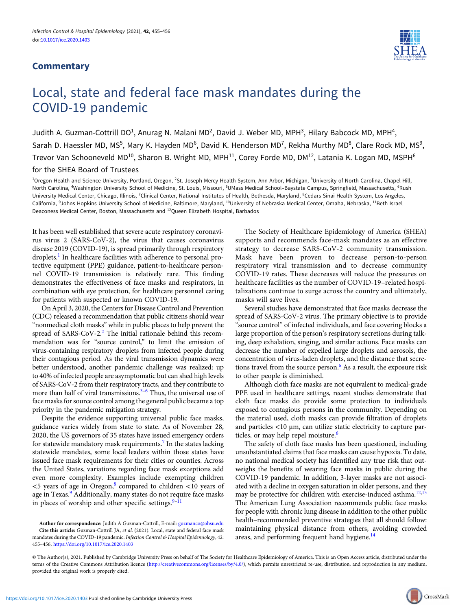## **Commentary**



## Local, state and federal face mask mandates during the COVID-19 pandemic

Judith A. Guzman-Cottrill DO<sup>1</sup>, Anurag N. Malani MD<sup>2</sup>, David J. Weber MD, MPH<sup>3</sup>, Hilary Babcock MD, MPH<sup>4</sup>, Sarah D. Haessler MD, MS<sup>5</sup>, Mary K. Hayden MD<sup>6</sup>, David K. Henderson MD<sup>7</sup>, Rekha Murthy MD<sup>8</sup>, Clare Rock MD, MS<sup>9</sup>, Trevor Van Schooneveld MD<sup>10</sup>, Sharon B. Wright MD, MPH<sup>11</sup>, Corey Forde MD, DM<sup>12</sup>, Latania K. Logan MD, MSPH<sup>6</sup>

for the SHEA Board of Trustees

<sup>1</sup>Oregon Health and Science University, Portland, Oregon, <sup>2</sup>St. Joseph Mercy Health System, Ann Arbor, Michigan, <sup>3</sup>University of North Carolina, Chapel Hill, North Carolina, <sup>4</sup>Washington University School of Medicine, St. Louis, Missouri, <sup>5</sup>UMass Medical School-Baystate Campus, Springfield, Massachusetts, <sup>6</sup>Rush University Medical Center, Chicago, Illinois, <sup>7</sup>Clinical Center, National Institutes of Health, Bethesda, Maryland, <sup>8</sup>Cedars Sinai Health System, Los Angeles, California, <sup>9</sup>Johns Hopkins University School of Medicine, Baltimore, Maryland, <sup>10</sup>University of Nebraska Medical Center, Omaha, Nebraska, <sup>11</sup>Beth Israel Deaconess Medical Center, Boston, Massachusetts and 12Queen Elizabeth Hospital, Barbados

It has been well established that severe acute respiratory coronavirus virus 2 (SARS-CoV-2), the virus that causes coronavirus disease 2019 (COVID-19), is spread primarily through respiratory droplets.<sup>[1](#page-1-0)</sup> In healthcare facilities with adherence to personal protective equipment (PPE) guidance, patient-to-healthcare personnel COVID-19 transmission is relatively rare. This finding demonstrates the effectiveness of face masks and respirators, in combination with eye protection, for healthcare personnel caring for patients with suspected or known COVID-19.

On April 3, 2020, the Centers for Disease Control and Prevention (CDC) released a recommendation that public citizens should wear "nonmedical cloth masks" while in public places to help prevent the spread of SARS-CoV-2.<sup>2</sup> The initial rationale behind this recommendation was for "source control," to limit the emission of virus-containing respiratory droplets from infected people during their contagious period. As the viral transmission dynamics were better understood, another pandemic challenge was realized: up to 40% of infected people are asymptomatic but can shed high levels of SARS-CoV-2 from their respiratory tracts, and they contribute to more than half of viral transmissions.<sup> $3-6$  $3-6$ </sup> Thus, the universal use of face masks for source control among the general public became a top priority in the pandemic mitigation strategy.

Despite the evidence supporting universal public face masks, guidance varies widely from state to state. As of November 28, 2020, the US governors of 35 states have issued emergency orders for statewide mandatory mask requirements.<sup>[7](#page-1-0)</sup> In the states lacking statewide mandates, some local leaders within those states have issued face mask requirements for their cities or counties. Across the United States, variations regarding face mask exceptions add even more complexity. Examples include exempting children  $<$ 5 years of age in Oregon,<sup>[8](#page-1-0)</sup> compared to children  $<$ 10 years of age in Texas.<sup>[9](#page-1-0)</sup> Additionally, many states do not require face masks in places of worship and other specific settings. $9-11$  $9-11$  $9-11$ 

Author for correspondence: Judith A Guzman-Cottrill, E-mail: [guzmanco@ohsu.edu](mailto:guzmanco@ohsu.edu) Cite this article: Guzman-Cottrill JA, et al. (2021). Local, state and federal face mask mandates during the COVID-19 pandemic. Infection Control & Hospital Epidemiology, 42: 455–456, <https://doi.org/10.1017/ice.2020.1403>

The Society of Healthcare Epidemiology of America (SHEA) supports and recommends face-mask mandates as an effective strategy to decrease SARS-CoV-2 community transmission. Mask have been proven to decrease person-to-person respiratory viral transmission and to decrease community COVID-19 rates. These decreases will reduce the pressures on healthcare facilities as the number of COVID-19–related hospitalizations continue to surge across the country and ultimately, masks will save lives.

Several studies have demonstrated that face masks decrease the spread of SARS-CoV-2 virus. The primary objective is to provide "source control" of infected individuals, and face covering blocks a large proportion of the person's respiratory secretions during talking, deep exhalation, singing, and similar actions. Face masks can decrease the number of expelled large droplets and aerosols, the concentration of virus-laden droplets, and the distance that secre-tions travel from the source person.<sup>[6](#page-1-0)</sup> As a result, the exposure risk to other people is diminished.

Although cloth face masks are not equivalent to medical-grade PPE used in healthcare settings, recent studies demonstrate that cloth face masks do provide some protection to individuals exposed to contagious persons in the community. Depending on the material used, cloth masks can provide filtration of droplets and particles <10 μm, can utilize static electricity to capture par-ticles, or may help repel moisture.<sup>[6](#page-1-0)</sup>

The safety of cloth face masks has been questioned, including unsubstantiated claims that face masks can cause hypoxia. To date, no national medical society has identified any true risk that outweighs the benefits of wearing face masks in public during the COVID-19 pandemic. In addition, 3-layer masks are not associated with a decline in oxygen saturation in older persons, and they may be protective for children with exercise-induced asthma.<sup>[12](#page-1-0),[13](#page-1-0)</sup> The American Lung Association recommends public face masks for people with chronic lung disease in addition to the other public health–recommended preventive strategies that all should follow: maintaining physical distance from others, avoiding crowded areas, and performing frequent hand hygiene.<sup>[14](#page-1-0)</sup>

© The Author(s), 2021. Published by Cambridge University Press on behalf of The Society for Healthcare Epidemiology of America. This is an Open Access article, distributed under the terms of the Creative Commons Attribution licence [\(http://creativecommons.org/licenses/by/4.0/](http://creativecommons.org/licenses/by/4.0/)), which permits unrestricted re-use, distribution, and reproduction in any medium, provided the original work is properly cited.